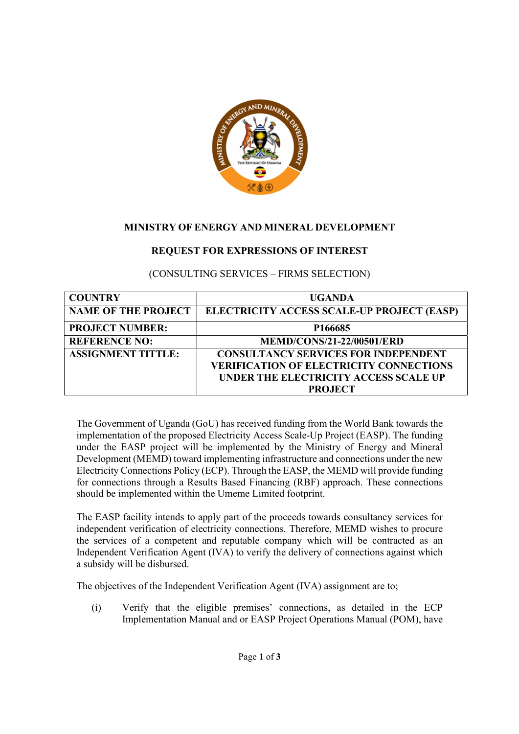

## MINISTRY OF ENERGY AND MINERAL DEVELOPMENT

# REQUEST FOR EXPRESSIONS OF INTEREST

## (CONSULTING SERVICES – FIRMS SELECTION)

| <b>COUNTRY</b>             | <b>UGANDA</b>                                  |
|----------------------------|------------------------------------------------|
| <b>NAME OF THE PROJECT</b> | ELECTRICITY ACCESS SCALE-UP PROJECT (EASP)     |
| <b>PROJECT NUMBER:</b>     | P166685                                        |
| <b>REFERENCE NO:</b>       | <b>MEMD/CONS/21-22/00501/ERD</b>               |
| <b>ASSIGNMENT TITTLE:</b>  | <b>CONSULTANCY SERVICES FOR INDEPENDENT</b>    |
|                            | <b>VERIFICATION OF ELECTRICITY CONNECTIONS</b> |
|                            | UNDER THE ELECTRICITY ACCESS SCALE UP          |
|                            | <b>PROJECT</b>                                 |

The Government of Uganda (GoU) has received funding from the World Bank towards the implementation of the proposed Electricity Access Scale-Up Project (EASP). The funding under the EASP project will be implemented by the Ministry of Energy and Mineral Development (MEMD) toward implementing infrastructure and connections under the new Electricity Connections Policy (ECP). Through the EASP, the MEMD will provide funding for connections through a Results Based Financing (RBF) approach. These connections should be implemented within the Umeme Limited footprint.

The EASP facility intends to apply part of the proceeds towards consultancy services for independent verification of electricity connections. Therefore, MEMD wishes to procure the services of a competent and reputable company which will be contracted as an Independent Verification Agent (IVA) to verify the delivery of connections against which a subsidy will be disbursed.

The objectives of the Independent Verification Agent (IVA) assignment are to;

(i) Verify that the eligible premises' connections, as detailed in the ECP Implementation Manual and or EASP Project Operations Manual (POM), have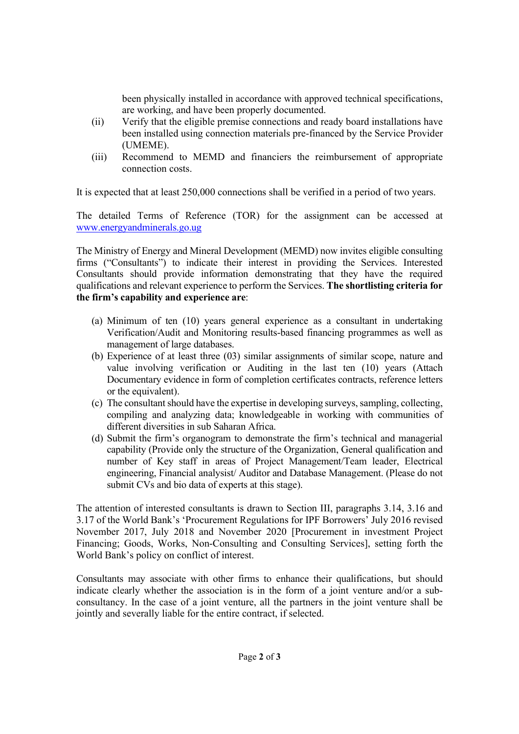been physically installed in accordance with approved technical specifications, are working, and have been properly documented.

- (ii) Verify that the eligible premise connections and ready board installations have been installed using connection materials pre-financed by the Service Provider (UMEME).
- (iii) Recommend to MEMD and financiers the reimbursement of appropriate connection costs.

It is expected that at least 250,000 connections shall be verified in a period of two years.

The detailed Terms of Reference (TOR) for the assignment can be accessed at www.energyandminerals.go.ug

The Ministry of Energy and Mineral Development (MEMD) now invites eligible consulting firms ("Consultants") to indicate their interest in providing the Services. Interested Consultants should provide information demonstrating that they have the required qualifications and relevant experience to perform the Services. The shortlisting criteria for the firm's capability and experience are:

- (a) Minimum of ten (10) years general experience as a consultant in undertaking Verification/Audit and Monitoring results-based financing programmes as well as management of large databases.
- (b) Experience of at least three (03) similar assignments of similar scope, nature and value involving verification or Auditing in the last ten (10) years (Attach Documentary evidence in form of completion certificates contracts, reference letters or the equivalent).
- (c) The consultant should have the expertise in developing surveys, sampling, collecting, compiling and analyzing data; knowledgeable in working with communities of different diversities in sub Saharan Africa.
- (d) Submit the firm's organogram to demonstrate the firm's technical and managerial capability (Provide only the structure of the Organization, General qualification and number of Key staff in areas of Project Management/Team leader, Electrical engineering, Financial analysist/ Auditor and Database Management. (Please do not submit CVs and bio data of experts at this stage).

The attention of interested consultants is drawn to Section III, paragraphs 3.14, 3.16 and 3.17 of the World Bank's 'Procurement Regulations for IPF Borrowers' July 2016 revised November 2017, July 2018 and November 2020 [Procurement in investment Project Financing; Goods, Works, Non-Consulting and Consulting Services], setting forth the World Bank's policy on conflict of interest.

Consultants may associate with other firms to enhance their qualifications, but should indicate clearly whether the association is in the form of a joint venture and/or a subconsultancy. In the case of a joint venture, all the partners in the joint venture shall be jointly and severally liable for the entire contract, if selected.